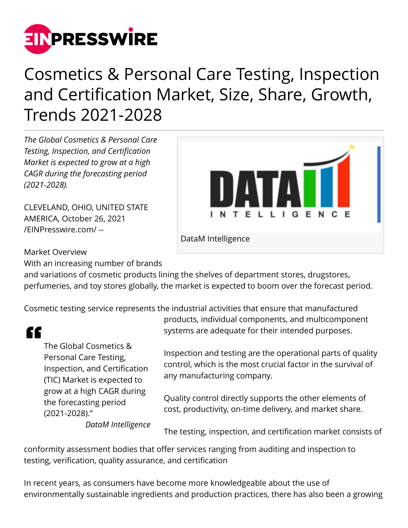

## Cosmetics & Personal Care Testing, Inspection and Certification Market, Size, Share, Growth, Trends 2021-2028

*The Global Cosmetics & Personal Care Testing, Inspection, and Certification Market is expected to grow at a high CAGR during the forecasting period (2021-2028).*

CLEVELAND, OHIO, UNITED STATE AMERICA, October 26, 2021 [/EINPresswire.com/](http://www.einpresswire.com) --



DataM Intelligence

Market Overview

With an increasing number of brands

and variations of cosmetic products lining the shelves of department stores, drugstores, perfumeries, and toy stores globally, the market is expected to boom over the forecast period.

Cosmetic testing service represents the industrial activities that ensure that manufactured

## "

The Global Cosmetics & Personal Care Testing, Inspection, and Certification (TIC) Market is expected to grow at a high CAGR during the forecasting period (2021-2028)."

*DataM Intelligence*

products, individual components, and multicomponent systems are adequate for their intended purposes.

Inspection and testing are the operational parts of quality control, which is the most crucial factor in the survival of any manufacturing company.

Quality control directly supports the other elements of cost, productivity, on-time delivery, and market share.

The testing, inspection, and certification market consists of

conformity assessment bodies that offer services ranging from auditing and inspection to testing, verification, quality assurance, and certification

In recent years, as consumers have become more knowledgeable about the use of environmentally sustainable ingredients and production practices, there has also been a growing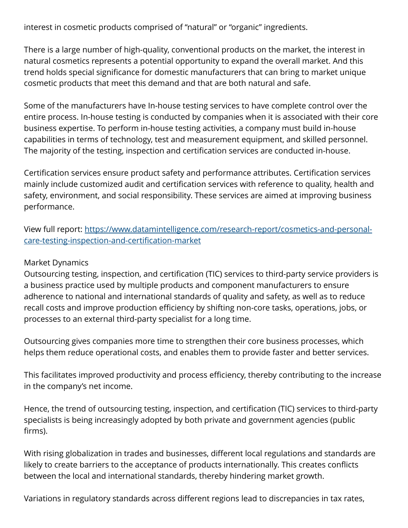interest in cosmetic products comprised of "natural" or "organic" ingredients.

There is a large number of high-quality, conventional products on the market, the interest in natural cosmetics represents a potential opportunity to expand the overall market. And this trend holds special significance for domestic manufacturers that can bring to market unique cosmetic products that meet this demand and that are both natural and safe.

Some of the manufacturers have In-house testing services to have complete control over the entire process. In-house testing is conducted by companies when it is associated with their core business expertise. To perform in-house testing activities, a company must build in-house capabilities in terms of technology, test and measurement equipment, and skilled personnel. The majority of the testing, inspection and certification services are conducted in-house.

Certification services ensure product safety and performance attributes. Certification services mainly include customized audit and certification services with reference to quality, health and safety, environment, and social responsibility. These services are aimed at improving business performance.

View full report: [https://www.datamintelligence.com/research-report/cosmetics-and-personal](https://www.datamintelligence.com/research-report/cosmetics-and-personal-care-testing-inspection-and-certification-market)[care-testing-inspection-and-certification-market](https://www.datamintelligence.com/research-report/cosmetics-and-personal-care-testing-inspection-and-certification-market)

## Market Dynamics

Outsourcing testing, inspection, and certification (TIC) services to third-party service providers is a business practice used by multiple products and component manufacturers to ensure adherence to national and international standards of quality and safety, as well as to reduce recall costs and improve production efficiency by shifting non-core tasks, operations, jobs, or processes to an external third-party specialist for a long time.

Outsourcing gives companies more time to strengthen their core business processes, which helps them reduce operational costs, and enables them to provide faster and better services.

This facilitates improved productivity and process efficiency, thereby contributing to the increase in the company's net income.

Hence, the trend of outsourcing testing, inspection, and certification (TIC) services to third-party specialists is being increasingly adopted by both private and government agencies (public firms).

With rising globalization in trades and businesses, different local regulations and standards are likely to create barriers to the acceptance of products internationally. This creates conflicts between the local and international standards, thereby hindering market growth.

Variations in regulatory standards across different regions lead to discrepancies in tax rates,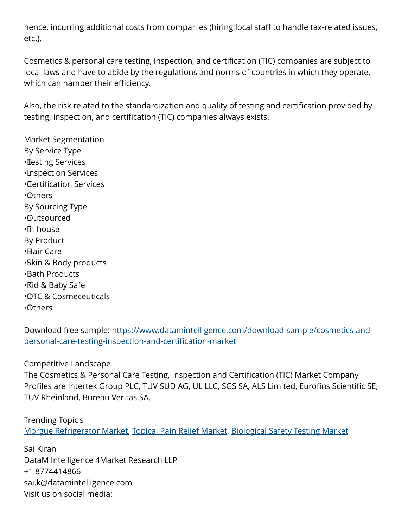hence, incurring additional costs from companies (hiring local staff to handle tax-related issues, etc.).

Cosmetics & personal care testing, inspection, and certification (TIC) companies are subject to local laws and have to abide by the regulations and norms of countries in which they operate, which can hamper their efficiency.

Also, the risk related to the standardization and quality of testing and certification provided by testing, inspection, and certification (TIC) companies always exists.

Market Segmentation By Service Type **·** Testing Services • Inspection Services • Certification Services • Others By Sourcing Type • Outsourced • In-house By Product • Hair Care • Skin & Body products • Bath Products • Kid & Baby Safe • OTC & Cosmeceuticals • Others

Download free sample: [https://www.datamintelligence.com/download-sample/cosmetics-and](https://www.datamintelligence.com/download-sample/cosmetics-and-personal-care-testing-inspection-and-certification-market)[personal-care-testing-inspection-and-certification-market](https://www.datamintelligence.com/download-sample/cosmetics-and-personal-care-testing-inspection-and-certification-market)

Competitive Landscape

The Cosmetics & Personal Care Testing, Inspection and Certification (TIC) Market Company Profiles are Intertek Group PLC, TUV SUD AG, UL LLC, SGS SA, ALS Limited, Eurofins Scientific SE, TUV Rheinland, Bureau Veritas SA.

Trending Topic's [Morgue Refrigerator Market](https://www.datamintelligence.com/research-report/morgue-refrigerator-market), [Topical Pain Relief Market](https://www.datamintelligence.com/research-report/topical-pain-relief-market), [Biological Safety Testing Market](https://www.datamintelligence.com/research-report/biological-safety-testing-market)

Sai Kiran DataM Intelligence 4Market Research LLP +1 8774414866 sai.k@datamintelligence.com Visit us on social media: